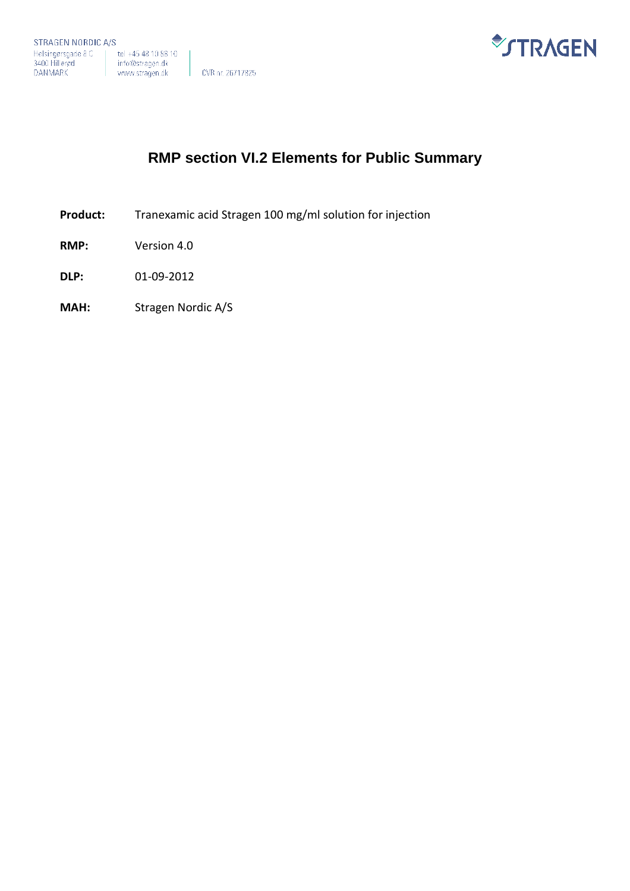

# **RMP section VI.2 Elements for Public Summary**

- **Product:** Tranexamic acid Stragen 100 mg/ml solution for injection
- **RMP:** Version 4.0
- **DLP:** 01-09-2012
- **MAH:** Stragen Nordic A/S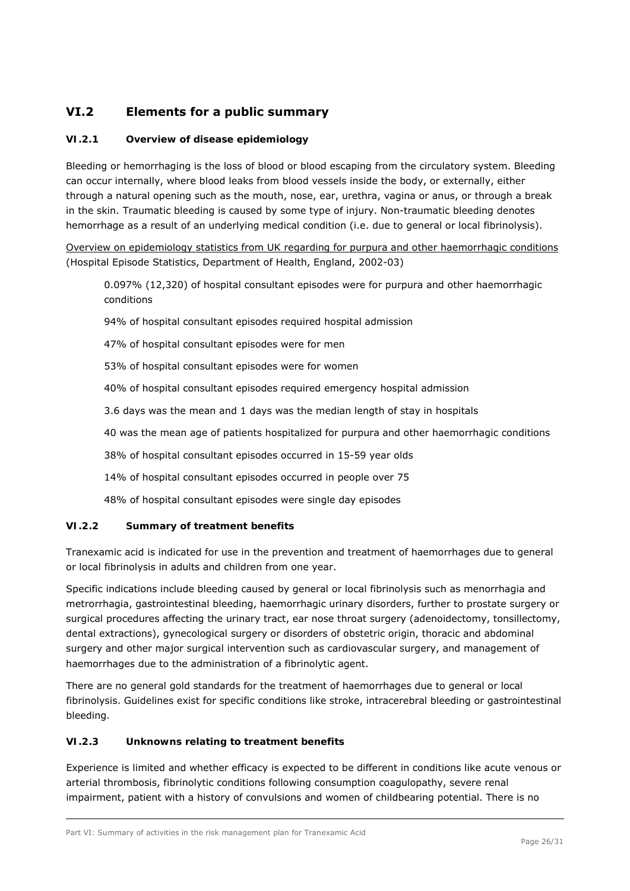# **VI.2 Elements for a public summary**

## *VI.2.1 Overview of disease epidemiology*

Bleeding or hemorrhaging is the loss of blood or blood escaping from the circulatory system. Bleeding can occur internally, where blood leaks from blood vessels inside the body, or externally, either through a natural opening such as the mouth, nose, ear, urethra, vagina or anus, or through a break in the skin. Traumatic bleeding is caused by some type of injury. Non-traumatic bleeding denotes hemorrhage as a result of an underlying medical condition (i.e. due to general or local fibrinolysis).

Overview on epidemiology statistics from UK regarding for purpura and other haemorrhagic conditions (Hospital Episode Statistics, Department of Health, England, 2002-03)

0.097% (12,320) of hospital consultant episodes were for purpura and other haemorrhagic conditions

94% of hospital consultant episodes required hospital admission

47% of hospital consultant episodes were for men

53% of hospital consultant episodes were for women

40% of hospital consultant episodes required emergency hospital admission

3.6 days was the mean and 1 days was the median length of stay in hospitals

40 was the mean age of patients hospitalized for purpura and other haemorrhagic conditions

38% of hospital consultant episodes occurred in 15-59 year olds

14% of hospital consultant episodes occurred in people over 75

48% of hospital consultant episodes were single day episodes

## *VI.2.2 Summary of treatment benefits*

Tranexamic acid is indicated for use in the prevention and treatment of haemorrhages due to general or local fibrinolysis in adults and children from one year.

Specific indications include bleeding caused by general or local fibrinolysis such as menorrhagia and metrorrhagia, gastrointestinal bleeding, haemorrhagic urinary disorders, further to prostate surgery or surgical procedures affecting the urinary tract, ear nose throat surgery (adenoidectomy, tonsillectomy, dental extractions), gynecological surgery or disorders of obstetric origin, thoracic and abdominal surgery and other major surgical intervention such as cardiovascular surgery, and management of haemorrhages due to the administration of a fibrinolytic agent.

There are no general gold standards for the treatment of haemorrhages due to general or local fibrinolysis. Guidelines exist for specific conditions like stroke, intracerebral bleeding or gastrointestinal bleeding.

# *VI.2.3 Unknowns relating to treatment benefits*

Experience is limited and whether efficacy is expected to be different in conditions like acute venous or arterial thrombosis, fibrinolytic conditions following consumption coagulopathy, severe renal impairment, patient with a history of convulsions and women of childbearing potential. There is no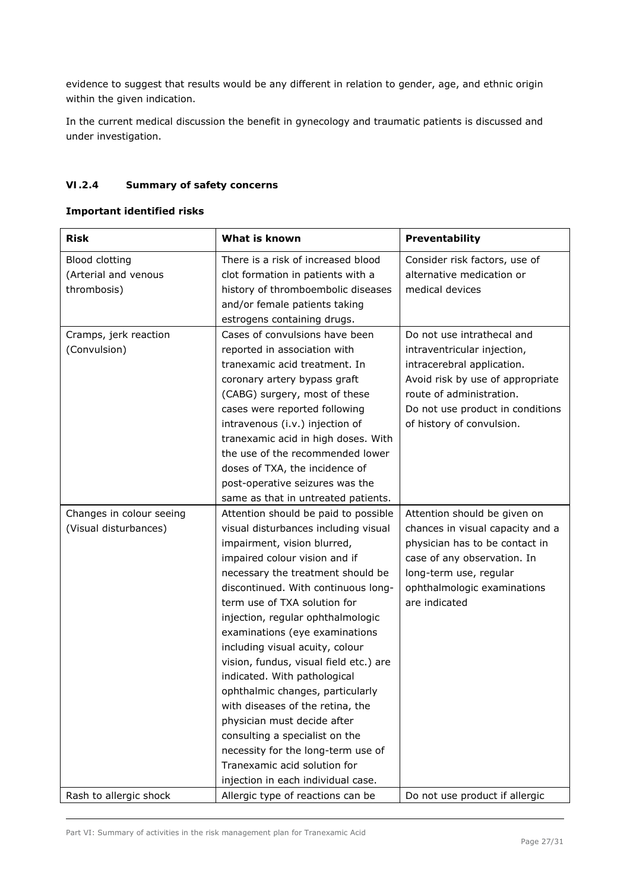evidence to suggest that results would be any different in relation to gender, age, and ethnic origin within the given indication.

In the current medical discussion the benefit in gynecology and traumatic patients is discussed and under investigation.

## *VI.2.4 Summary of safety concerns*

### **Important identified risks**

| <b>Risk</b>              | What is known                          | Preventability                   |
|--------------------------|----------------------------------------|----------------------------------|
| <b>Blood clotting</b>    | There is a risk of increased blood     | Consider risk factors, use of    |
| (Arterial and venous     | clot formation in patients with a      | alternative medication or        |
| thrombosis)              | history of thromboembolic diseases     | medical devices                  |
|                          | and/or female patients taking          |                                  |
|                          | estrogens containing drugs.            |                                  |
| Cramps, jerk reaction    | Cases of convulsions have been         | Do not use intrathecal and       |
| (Convulsion)             | reported in association with           | intraventricular injection,      |
|                          | tranexamic acid treatment. In          | intracerebral application.       |
|                          | coronary artery bypass graft           | Avoid risk by use of appropriate |
|                          | (CABG) surgery, most of these          | route of administration.         |
|                          | cases were reported following          | Do not use product in conditions |
|                          | intravenous (i.v.) injection of        | of history of convulsion.        |
|                          | tranexamic acid in high doses. With    |                                  |
|                          | the use of the recommended lower       |                                  |
|                          | doses of TXA, the incidence of         |                                  |
|                          | post-operative seizures was the        |                                  |
|                          | same as that in untreated patients.    |                                  |
| Changes in colour seeing | Attention should be paid to possible   | Attention should be given on     |
| (Visual disturbances)    | visual disturbances including visual   | chances in visual capacity and a |
|                          | impairment, vision blurred,            | physician has to be contact in   |
|                          | impaired colour vision and if          | case of any observation. In      |
|                          | necessary the treatment should be      | long-term use, regular           |
|                          | discontinued. With continuous long-    | ophthalmologic examinations      |
|                          | term use of TXA solution for           | are indicated                    |
|                          | injection, regular ophthalmologic      |                                  |
|                          | examinations (eye examinations         |                                  |
|                          | including visual acuity, colour        |                                  |
|                          | vision, fundus, visual field etc.) are |                                  |
|                          | indicated. With pathological           |                                  |
|                          | ophthalmic changes, particularly       |                                  |
|                          | with diseases of the retina, the       |                                  |
|                          | physician must decide after            |                                  |
|                          | consulting a specialist on the         |                                  |
|                          | necessity for the long-term use of     |                                  |
|                          | Tranexamic acid solution for           |                                  |
|                          | injection in each individual case.     |                                  |
| Rash to allergic shock   | Allergic type of reactions can be      | Do not use product if allergic   |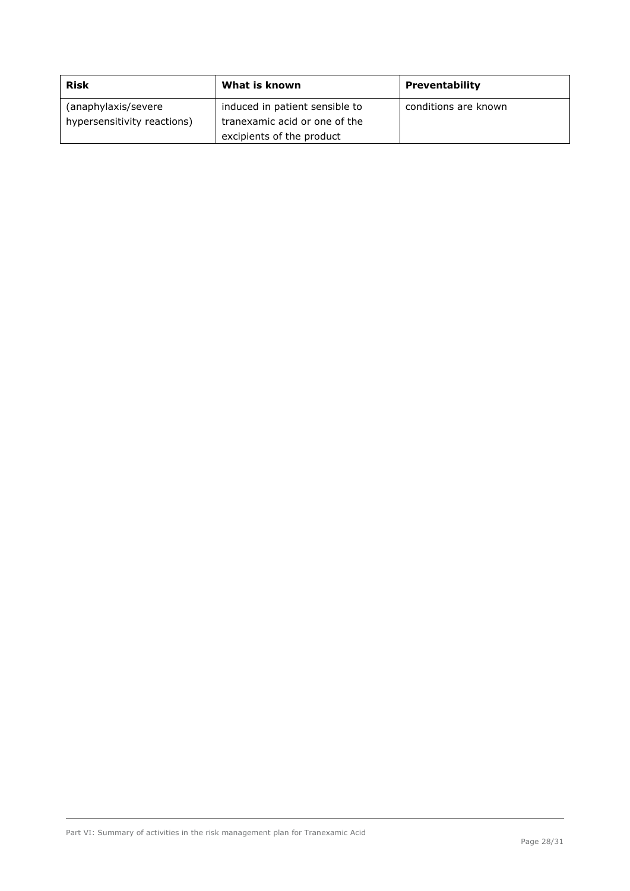| <b>Risk</b>                 | What is known                  | <b>Preventability</b> |
|-----------------------------|--------------------------------|-----------------------|
| (anaphylaxis/severe         | induced in patient sensible to | conditions are known  |
| hypersensitivity reactions) | tranexamic acid or one of the  |                       |
|                             | excipients of the product      |                       |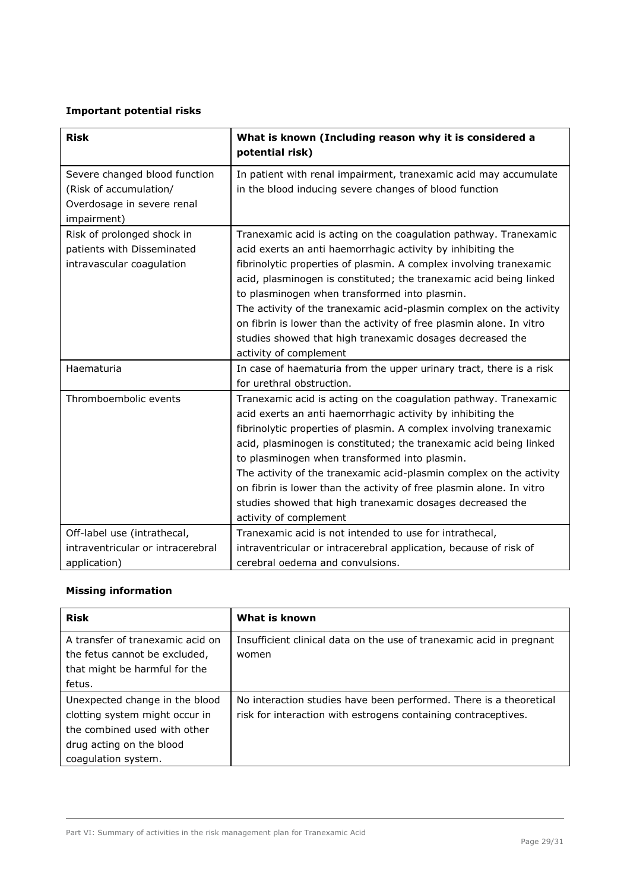# **Important potential risks**

| <b>Risk</b>                                                                                          | What is known (Including reason why it is considered a<br>potential risk)                                                                                                                                                                                                                                                                                                                                                                                                                                                                                          |
|------------------------------------------------------------------------------------------------------|--------------------------------------------------------------------------------------------------------------------------------------------------------------------------------------------------------------------------------------------------------------------------------------------------------------------------------------------------------------------------------------------------------------------------------------------------------------------------------------------------------------------------------------------------------------------|
| Severe changed blood function<br>(Risk of accumulation/<br>Overdosage in severe renal<br>impairment) | In patient with renal impairment, tranexamic acid may accumulate<br>in the blood inducing severe changes of blood function                                                                                                                                                                                                                                                                                                                                                                                                                                         |
| Risk of prolonged shock in<br>patients with Disseminated<br>intravascular coagulation                | Tranexamic acid is acting on the coagulation pathway. Tranexamic<br>acid exerts an anti haemorrhagic activity by inhibiting the<br>fibrinolytic properties of plasmin. A complex involving tranexamic<br>acid, plasminogen is constituted; the tranexamic acid being linked<br>to plasminogen when transformed into plasmin.<br>The activity of the tranexamic acid-plasmin complex on the activity<br>on fibrin is lower than the activity of free plasmin alone. In vitro<br>studies showed that high tranexamic dosages decreased the<br>activity of complement |
| Haematuria                                                                                           | In case of haematuria from the upper urinary tract, there is a risk<br>for urethral obstruction.                                                                                                                                                                                                                                                                                                                                                                                                                                                                   |
| Thromboembolic events                                                                                | Tranexamic acid is acting on the coagulation pathway. Tranexamic<br>acid exerts an anti haemorrhagic activity by inhibiting the<br>fibrinolytic properties of plasmin. A complex involving tranexamic<br>acid, plasminogen is constituted; the tranexamic acid being linked<br>to plasminogen when transformed into plasmin.<br>The activity of the tranexamic acid-plasmin complex on the activity<br>on fibrin is lower than the activity of free plasmin alone. In vitro<br>studies showed that high tranexamic dosages decreased the<br>activity of complement |
| Off-label use (intrathecal,                                                                          | Tranexamic acid is not intended to use for intrathecal,                                                                                                                                                                                                                                                                                                                                                                                                                                                                                                            |
| intraventricular or intracerebral<br>application)                                                    | intraventricular or intracerebral application, because of risk of<br>cerebral oedema and convulsions.                                                                                                                                                                                                                                                                                                                                                                                                                                                              |

## **Missing information**

| <b>Risk</b>                                                                                                                                         | What is known                                                                                                                        |
|-----------------------------------------------------------------------------------------------------------------------------------------------------|--------------------------------------------------------------------------------------------------------------------------------------|
| A transfer of tranexamic acid on<br>the fetus cannot be excluded,<br>that might be harmful for the<br>fetus.                                        | Insufficient clinical data on the use of tranexamic acid in pregnant<br>women                                                        |
| Unexpected change in the blood<br>clotting system might occur in<br>the combined used with other<br>drug acting on the blood<br>coagulation system. | No interaction studies have been performed. There is a theoretical<br>risk for interaction with estrogens containing contraceptives. |